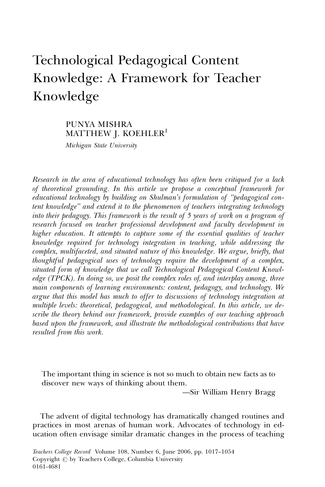# Technological Pedagogical Content Knowledge: A Framework for Teacher Knowledge

PUNYA MISHRA MATTHEW J. KOEHLER<sup>1</sup>

Michigan State University

Research in the area of educational technology has often been critiqued for a lack of theoretical grounding. In this article we propose a conceptual framework for educational technology by building on Shulman's formulation of ''pedagogical content knowledge'' and extend it to the phenomenon of teachers integrating technology into their pedagogy. This framework is the result of 5 years of work on a program of research focused on teacher professional development and faculty development in higher education. It attempts to capture some of the essential qualities of teacher knowledge required for technology integration in teaching, while addressing the complex, multifaceted, and situated nature of this knowledge. We argue, briefly, that thoughtful pedagogical uses of technology require the development of a complex, situated form of knowledge that we call Technological Pedagogical Content Knowledge (TPCK). In doing so, we posit the complex roles of, and interplay among, three main components of learning environments: content, pedagogy, and technology. We argue that this model has much to offer to discussions of technology integration at multiple levels: theoretical, pedagogical, and methodological. In this article, we describe the theory behind our framework, provide examples of our teaching approach based upon the framework, and illustrate the methodological contributions that have resulted from this work.

The important thing in science is not so much to obtain new facts as to discover new ways of thinking about them.

—Sir William Henry Bragg

The advent of digital technology has dramatically changed routines and practices in most arenas of human work. Advocates of technology in education often envisage similar dramatic changes in the process of teaching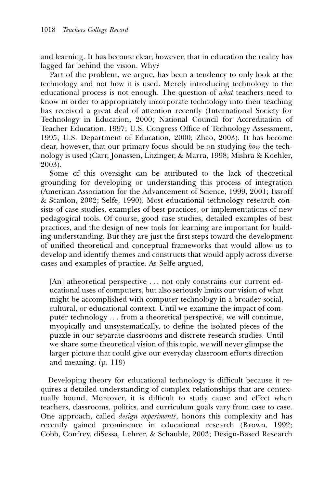and learning. It has become clear, however, that in education the reality has lagged far behind the vision. Why?

Part of the problem, we argue, has been a tendency to only look at the technology and not how it is used. Merely introducing technology to the educational process is not enough. The question of what teachers need to know in order to appropriately incorporate technology into their teaching has received a great deal of attention recently (International Society for Technology in Education, 2000; National Council for Accreditation of Teacher Education, 1997; U.S. Congress Office of Technology Assessment, 1995; U.S. Department of Education, 2000; Zhao, 2003). It has become clear, however, that our primary focus should be on studying how the technology is used (Carr, Jonassen, Litzinger, & Marra, 1998; Mishra & Koehler, 2003).

Some of this oversight can be attributed to the lack of theoretical grounding for developing or understanding this process of integration (American Association for the Advancement of Science, 1999, 2001; Issroff & Scanlon, 2002; Selfe, 1990). Most educational technology research consists of case studies, examples of best practices, or implementations of new pedagogical tools. Of course, good case studies, detailed examples of best practices, and the design of new tools for learning are important for building understanding. But they are just the first steps toward the development of unified theoretical and conceptual frameworks that would allow us to develop and identify themes and constructs that would apply across diverse cases and examples of practice. As Selfe argued,

[An] atheoretical perspective ... not only constrains our current educational uses of computers, but also seriously limits our vision of what might be accomplished with computer technology in a broader social, cultural, or educational context. Until we examine the impact of computer technology . . . from a theoretical perspective, we will continue, myopically and unsystematically, to define the isolated pieces of the puzzle in our separate classrooms and discrete research studies. Until we share some theoretical vision of this topic, we will never glimpse the larger picture that could give our everyday classroom efforts direction and meaning. (p. 119)

Developing theory for educational technology is difficult because it requires a detailed understanding of complex relationships that are contextually bound. Moreover, it is difficult to study cause and effect when teachers, classrooms, politics, and curriculum goals vary from case to case. One approach, called design experiments, honors this complexity and has recently gained prominence in educational research (Brown, 1992; Cobb, Confrey, diSessa, Lehrer, & Schauble, 2003; Design-Based Research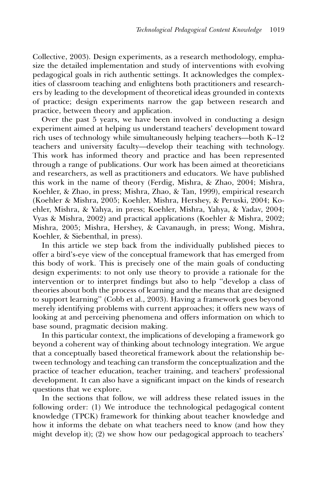Collective, 2003). Design experiments, as a research methodology, emphasize the detailed implementation and study of interventions with evolving pedagogical goals in rich authentic settings. It acknowledges the complexities of classroom teaching and enlightens both practitioners and researchers by leading to the development of theoretical ideas grounded in contexts of practice; design experiments narrow the gap between research and practice, between theory and application.

Over the past 5 years, we have been involved in conducting a design experiment aimed at helping us understand teachers' development toward rich uses of technology while simultaneously helping teachers—both K–12 teachers and university faculty—develop their teaching with technology. This work has informed theory and practice and has been represented through a range of publications. Our work has been aimed at theoreticians and researchers, as well as practitioners and educators. We have published this work in the name of theory (Ferdig, Mishra, & Zhao, 2004; Mishra, Koehler, & Zhao, in press; Mishra, Zhao, & Tan, 1999), empirical research (Koehler & Mishra, 2005; Koehler, Mishra, Hershey, & Peruski, 2004; Koehler, Mishra, & Yahya, in press; Koehler, Mishra, Yahya, & Yadav, 2004; Vyas & Mishra, 2002) and practical applications (Koehler & Mishra, 2002; Mishra, 2005; Mishra, Hershey, & Cavanaugh, in press; Wong, Mishra, Koehler, & Siebenthal, in press).

In this article we step back from the individually published pieces to offer a bird's-eye view of the conceptual framework that has emerged from this body of work. This is precisely one of the main goals of conducting design experiments: to not only use theory to provide a rationale for the intervention or to interpret findings but also to help ''develop a class of theories about both the process of learning and the means that are designed to support learning'' (Cobb et al., 2003). Having a framework goes beyond merely identifying problems with current approaches; it offers new ways of looking at and perceiving phenomena and offers information on which to base sound, pragmatic decision making.

In this particular context, the implications of developing a framework go beyond a coherent way of thinking about technology integration. We argue that a conceptually based theoretical framework about the relationship between technology and teaching can transform the conceptualization and the practice of teacher education, teacher training, and teachers' professional development. It can also have a significant impact on the kinds of research questions that we explore.

In the sections that follow, we will address these related issues in the following order: (1) We introduce the technological pedagogical content knowledge (TPCK) framework for thinking about teacher knowledge and how it informs the debate on what teachers need to know (and how they might develop it); (2) we show how our pedagogical approach to teachers'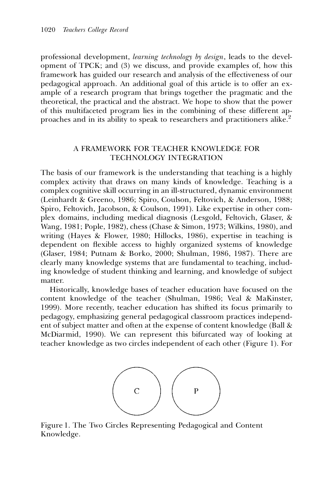professional development, learning technology by design, leads to the development of TPCK; and (3) we discuss, and provide examples of, how this framework has guided our research and analysis of the effectiveness of our pedagogical approach. An additional goal of this article is to offer an example of a research program that brings together the pragmatic and the theoretical, the practical and the abstract. We hope to show that the power of this multifaceted program lies in the combining of these different approaches and in its ability to speak to researchers and practitioners alike.<sup>2</sup>

# A FRAMEWORK FOR TEACHER KNOWLEDGE FOR TECHNOLOGY INTEGRATION

The basis of our framework is the understanding that teaching is a highly complex activity that draws on many kinds of knowledge. Teaching is a complex cognitive skill occurring in an ill-structured, dynamic environment (Leinhardt & Greeno, 1986; Spiro, Coulson, Feltovich, & Anderson, 1988; Spiro, Feltovich, Jacobson, & Coulson, 1991). Like expertise in other complex domains, including medical diagnosis (Lesgold, Feltovich, Glaser, & Wang, 1981; Pople, 1982), chess (Chase & Simon, 1973; Wilkins, 1980), and writing (Hayes & Flower, 1980; Hillocks, 1986), expertise in teaching is dependent on flexible access to highly organized systems of knowledge (Glaser, 1984; Putnam & Borko, 2000; Shulman, 1986, 1987). There are clearly many knowledge systems that are fundamental to teaching, including knowledge of student thinking and learning, and knowledge of subject matter.

Historically, knowledge bases of teacher education have focused on the content knowledge of the teacher (Shulman, 1986; Veal & MaKinster, 1999). More recently, teacher education has shifted its focus primarily to pedagogy, emphasizing general pedagogical classroom practices independent of subject matter and often at the expense of content knowledge (Ball & McDiarmid, 1990). We can represent this bifurcated way of looking at teacher knowledge as two circles independent of each other (Figure 1). For



Figure 1. The Two Circles Representing Pedagogical and Content Knowledge.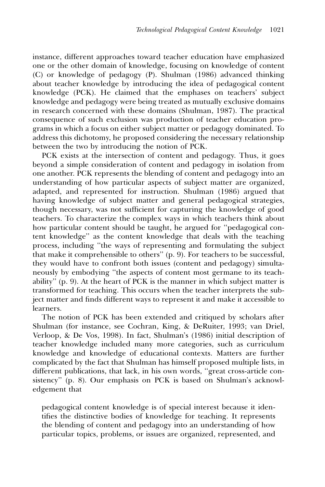instance, different approaches toward teacher education have emphasized one or the other domain of knowledge, focusing on knowledge of content (C) or knowledge of pedagogy (P). Shulman (1986) advanced thinking about teacher knowledge by introducing the idea of pedagogical content knowledge (PCK). He claimed that the emphases on teachers' subject knowledge and pedagogy were being treated as mutually exclusive domains in research concerned with these domains (Shulman, 1987). The practical consequence of such exclusion was production of teacher education programs in which a focus on either subject matter or pedagogy dominated. To address this dichotomy, he proposed considering the necessary relationship between the two by introducing the notion of PCK.

PCK exists at the intersection of content and pedagogy. Thus, it goes beyond a simple consideration of content and pedagogy in isolation from one another. PCK represents the blending of content and pedagogy into an understanding of how particular aspects of subject matter are organized, adapted, and represented for instruction. Shulman (1986) argued that having knowledge of subject matter and general pedagogical strategies, though necessary, was not sufficient for capturing the knowledge of good teachers. To characterize the complex ways in which teachers think about how particular content should be taught, he argued for ''pedagogical content knowledge'' as the content knowledge that deals with the teaching process, including ''the ways of representing and formulating the subject that make it comprehensible to others'' (p. 9). For teachers to be successful, they would have to confront both issues (content and pedagogy) simultaneously by embodying ''the aspects of content most germane to its teachability'' (p. 9). At the heart of PCK is the manner in which subject matter is transformed for teaching. This occurs when the teacher interprets the subject matter and finds different ways to represent it and make it accessible to learners.

The notion of PCK has been extended and critiqued by scholars after Shulman (for instance, see Cochran, King, & DeRuiter, 1993; van Driel, Verloop, & De Vos, 1998). In fact, Shulman's (1986) initial description of teacher knowledge included many more categories, such as curriculum knowledge and knowledge of educational contexts. Matters are further complicated by the fact that Shulman has himself proposed multiple lists, in different publications, that lack, in his own words, ''great cross-article consistency'' (p. 8). Our emphasis on PCK is based on Shulman's acknowledgement that

pedagogical content knowledge is of special interest because it identifies the distinctive bodies of knowledge for teaching. It represents the blending of content and pedagogy into an understanding of how particular topics, problems, or issues are organized, represented, and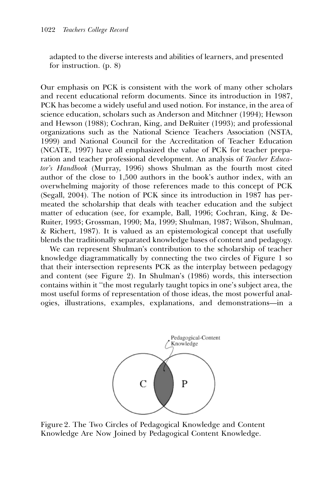adapted to the diverse interests and abilities of learners, and presented for instruction. (p. 8)

Our emphasis on PCK is consistent with the work of many other scholars and recent educational reform documents. Since its introduction in 1987, PCK has become a widely useful and used notion. For instance, in the area of science education, scholars such as Anderson and Mitchner (1994); Hewson and Hewson (1988); Cochran, King, and DeRuiter (1993); and professional organizations such as the National Science Teachers Association (NSTA, 1999) and National Council for the Accreditation of Teacher Education (NCATE, 1997) have all emphasized the value of PCK for teacher preparation and teacher professional development. An analysis of Teacher Educator's Handbook (Murray, 1996) shows Shulman as the fourth most cited author of the close to 1,500 authors in the book's author index, with an overwhelming majority of those references made to this concept of PCK (Segall, 2004). The notion of PCK since its introduction in 1987 has permeated the scholarship that deals with teacher education and the subject matter of education (see, for example, Ball, 1996; Cochran, King, & De-Ruiter, 1993; Grossman, 1990; Ma, 1999; Shulman, 1987; Wilson, Shulman, & Richert, 1987). It is valued as an epistemological concept that usefully blends the traditionally separated knowledge bases of content and pedagogy.

We can represent Shulman's contribution to the scholarship of teacher knowledge diagrammatically by connecting the two circles of Figure 1 so that their intersection represents PCK as the interplay between pedagogy and content (see Figure 2). In Shulman's (1986) words, this intersection contains within it ''the most regularly taught topics in one's subject area, the most useful forms of representation of those ideas, the most powerful analogies, illustrations, examples, explanations, and demonstrations—in a



Figure 2. The Two Circles of Pedagogical Knowledge and Content Knowledge Are Now Joined by Pedagogical Content Knowledge.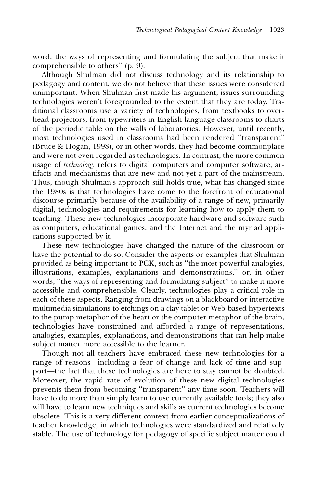word, the ways of representing and formulating the subject that make it comprehensible to others'' (p. 9).

Although Shulman did not discuss technology and its relationship to pedagogy and content, we do not believe that these issues were considered unimportant. When Shulman first made his argument, issues surrounding technologies weren't foregrounded to the extent that they are today. Traditional classrooms use a variety of technologies, from textbooks to overhead projectors, from typewriters in English language classrooms to charts of the periodic table on the walls of laboratories. However, until recently, most technologies used in classrooms had been rendered ''transparent'' (Bruce & Hogan, 1998), or in other words, they had become commonplace and were not even regarded as technologies. In contrast, the more common usage of technology refers to digital computers and computer software, artifacts and mechanisms that are new and not yet a part of the mainstream. Thus, though Shulman's approach still holds true, what has changed since the 1980s is that technologies have come to the forefront of educational discourse primarily because of the availability of a range of new, primarily digital, technologies and requirements for learning how to apply them to teaching. These new technologies incorporate hardware and software such as computers, educational games, and the Internet and the myriad applications supported by it.

These new technologies have changed the nature of the classroom or have the potential to do so. Consider the aspects or examples that Shulman provided as being important to PCK, such as ''the most powerful analogies, illustrations, examples, explanations and demonstrations,'' or, in other words, ''the ways of representing and formulating subject'' to make it more accessible and comprehensible. Clearly, technologies play a critical role in each of these aspects. Ranging from drawings on a blackboard or interactive multimedia simulations to etchings on a clay tablet or Web-based hypertexts to the pump metaphor of the heart or the computer metaphor of the brain, technologies have constrained and afforded a range of representations, analogies, examples, explanations, and demonstrations that can help make subject matter more accessible to the learner.

Though not all teachers have embraced these new technologies for a range of reasons—including a fear of change and lack of time and support—the fact that these technologies are here to stay cannot be doubted. Moreover, the rapid rate of evolution of these new digital technologies prevents them from becoming ''transparent'' any time soon. Teachers will have to do more than simply learn to use currently available tools; they also will have to learn new techniques and skills as current technologies become obsolete. This is a very different context from earlier conceptualizations of teacher knowledge, in which technologies were standardized and relatively stable. The use of technology for pedagogy of specific subject matter could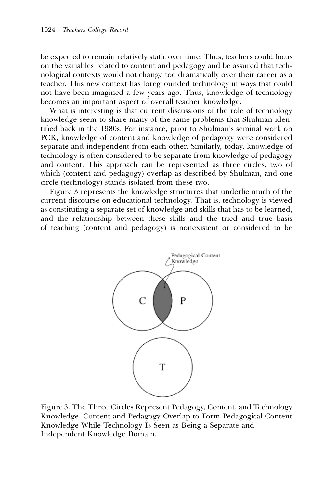be expected to remain relatively static over time. Thus, teachers could focus on the variables related to content and pedagogy and be assured that technological contexts would not change too dramatically over their career as a teacher. This new context has foregrounded technology in ways that could not have been imagined a few years ago. Thus, knowledge of technology becomes an important aspect of overall teacher knowledge.

What is interesting is that current discussions of the role of technology knowledge seem to share many of the same problems that Shulman identified back in the 1980s. For instance, prior to Shulman's seminal work on PCK, knowledge of content and knowledge of pedagogy were considered separate and independent from each other. Similarly, today, knowledge of technology is often considered to be separate from knowledge of pedagogy and content. This approach can be represented as three circles, two of which (content and pedagogy) overlap as described by Shulman, and one circle (technology) stands isolated from these two.

Figure 3 represents the knowledge structures that underlie much of the current discourse on educational technology. That is, technology is viewed as constituting a separate set of knowledge and skills that has to be learned, and the relationship between these skills and the tried and true basis of teaching (content and pedagogy) is nonexistent or considered to be



Figure 3. The Three Circles Represent Pedagogy, Content, and Technology Knowledge. Content and Pedagogy Overlap to Form Pedagogical Content Knowledge While Technology Is Seen as Being a Separate and Independent Knowledge Domain.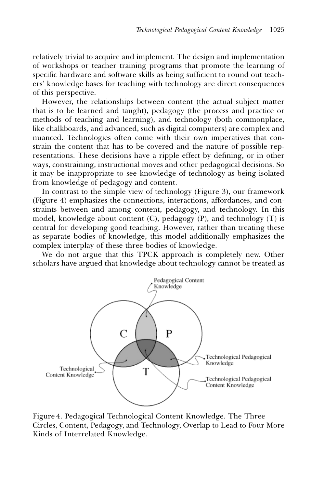relatively trivial to acquire and implement. The design and implementation of workshops or teacher training programs that promote the learning of specific hardware and software skills as being sufficient to round out teachers' knowledge bases for teaching with technology are direct consequences of this perspective.

However, the relationships between content (the actual subject matter that is to be learned and taught), pedagogy (the process and practice or methods of teaching and learning), and technology (both commonplace, like chalkboards, and advanced, such as digital computers) are complex and nuanced. Technologies often come with their own imperatives that constrain the content that has to be covered and the nature of possible representations. These decisions have a ripple effect by defining, or in other ways, constraining, instructional moves and other pedagogical decisions. So it may be inappropriate to see knowledge of technology as being isolated from knowledge of pedagogy and content.

In contrast to the simple view of technology (Figure 3), our framework (Figure 4) emphasizes the connections, interactions, affordances, and constraints between and among content, pedagogy, and technology. In this model, knowledge about content (C), pedagogy (P), and technology (T) is central for developing good teaching. However, rather than treating these as separate bodies of knowledge, this model additionally emphasizes the complex interplay of these three bodies of knowledge.

We do not argue that this TPCK approach is completely new. Other scholars have argued that knowledge about technology cannot be treated as



Figure 4. Pedagogical Technological Content Knowledge. The Three Circles, Content, Pedagogy, and Technology, Overlap to Lead to Four More Kinds of Interrelated Knowledge.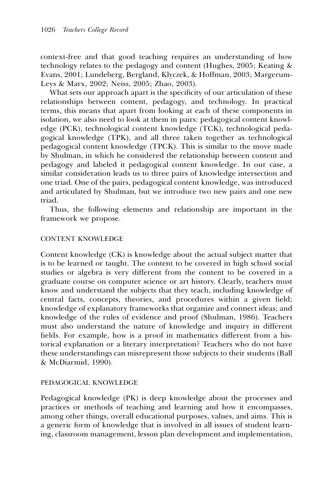context-free and that good teaching requires an understanding of how technology relates to the pedagogy and content (Hughes, 2005; Keating & Evans, 2001; Lundeberg, Bergland, Klyczek, & Hoffman, 2003; Margerum-Leys & Marx, 2002; Neiss, 2005; Zhao, 2003).

What sets our approach apart is the specificity of our articulation of these relationships between content, pedagogy, and technology. In practical terms, this means that apart from looking at each of these components in isolation, we also need to look at them in pairs: pedagogical content knowledge (PCK), technological content knowledge (TCK), technological pedagogical knowledge (TPK), and all three taken together as technological pedagogical content knowledge (TPCK). This is similar to the move made by Shulman, in which he considered the relationship between content and pedagogy and labeled it pedagogical content knowledge. In our case, a similar consideration leads us to three pairs of knowledge intersection and one triad. One of the pairs, pedagogical content knowledge, was introduced and articulated by Shulman, but we introduce two new pairs and one new triad.

Thus, the following elements and relationship are important in the framework we propose.

# CONTENT KNOWLEDGE

Content knowledge (CK) is knowledge about the actual subject matter that is to be learned or taught. The content to be covered in high school social studies or algebra is very different from the content to be covered in a graduate course on computer science or art history. Clearly, teachers must know and understand the subjects that they teach, including knowledge of central facts, concepts, theories, and procedures within a given field; knowledge of explanatory frameworks that organize and connect ideas; and knowledge of the rules of evidence and proof (Shulman, 1986). Teachers must also understand the nature of knowledge and inquiry in different fields. For example, how is a proof in mathematics different from a historical explanation or a literary interpretation? Teachers who do not have these understandings can misrepresent those subjects to their students (Ball & McDiarmid, 1990).

# PEDAGOGICAL KNOWLEDGE

Pedagogical knowledge (PK) is deep knowledge about the processes and practices or methods of teaching and learning and how it encompasses, among other things, overall educational purposes, values, and aims. This is a generic form of knowledge that is involved in all issues of student learning, classroom management, lesson plan development and implementation,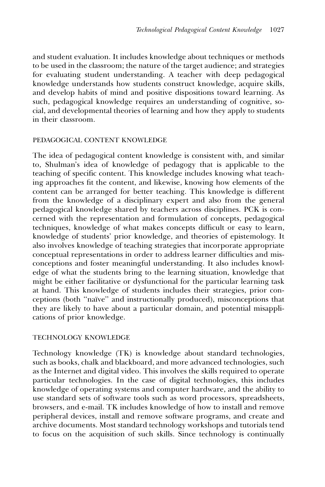and student evaluation. It includes knowledge about techniques or methods to be used in the classroom; the nature of the target audience; and strategies for evaluating student understanding. A teacher with deep pedagogical knowledge understands how students construct knowledge, acquire skills, and develop habits of mind and positive dispositions toward learning. As such, pedagogical knowledge requires an understanding of cognitive, social, and developmental theories of learning and how they apply to students in their classroom.

#### PEDAGOGICAL CONTENT KNOWLEDGE

The idea of pedagogical content knowledge is consistent with, and similar to, Shulman's idea of knowledge of pedagogy that is applicable to the teaching of specific content. This knowledge includes knowing what teaching approaches fit the content, and likewise, knowing how elements of the content can be arranged for better teaching. This knowledge is different from the knowledge of a disciplinary expert and also from the general pedagogical knowledge shared by teachers across disciplines. PCK is concerned with the representation and formulation of concepts, pedagogical techniques, knowledge of what makes concepts difficult or easy to learn, knowledge of students' prior knowledge, and theories of epistemology. It also involves knowledge of teaching strategies that incorporate appropriate conceptual representations in order to address learner difficulties and misconceptions and foster meaningful understanding. It also includes knowledge of what the students bring to the learning situation, knowledge that might be either facilitative or dysfunctional for the particular learning task at hand. This knowledge of students includes their strategies, prior conceptions (both "naïve" and instructionally produced), misconceptions that they are likely to have about a particular domain, and potential misapplications of prior knowledge.

#### TECHNOLOGY KNOWLEDGE

Technology knowledge (TK) is knowledge about standard technologies, such as books, chalk and blackboard, and more advanced technologies, such as the Internet and digital video. This involves the skills required to operate particular technologies. In the case of digital technologies, this includes knowledge of operating systems and computer hardware, and the ability to use standard sets of software tools such as word processors, spreadsheets, browsers, and e-mail. TK includes knowledge of how to install and remove peripheral devices, install and remove software programs, and create and archive documents. Most standard technology workshops and tutorials tend to focus on the acquisition of such skills. Since technology is continually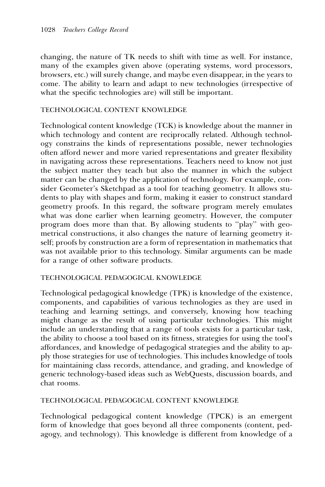changing, the nature of TK needs to shift with time as well. For instance, many of the examples given above (operating systems, word processors, browsers, etc.) will surely change, and maybe even disappear, in the years to come. The ability to learn and adapt to new technologies (irrespective of what the specific technologies are) will still be important.

# TECHNOLOGICAL CONTENT KNOWLEDGE

Technological content knowledge (TCK) is knowledge about the manner in which technology and content are reciprocally related. Although technology constrains the kinds of representations possible, newer technologies often afford newer and more varied representations and greater flexibility in navigating across these representations. Teachers need to know not just the subject matter they teach but also the manner in which the subject matter can be changed by the application of technology. For example, consider Geometer's Sketchpad as a tool for teaching geometry. It allows students to play with shapes and form, making it easier to construct standard geometry proofs. In this regard, the software program merely emulates what was done earlier when learning geometry. However, the computer program does more than that. By allowing students to ''play'' with geometrical constructions, it also changes the nature of learning geometry itself; proofs by construction are a form of representation in mathematics that was not available prior to this technology. Similar arguments can be made for a range of other software products.

# TECHNOLOGICAL PEDAGOGICAL KNOWLEDGE

Technological pedagogical knowledge (TPK) is knowledge of the existence, components, and capabilities of various technologies as they are used in teaching and learning settings, and conversely, knowing how teaching might change as the result of using particular technologies. This might include an understanding that a range of tools exists for a particular task, the ability to choose a tool based on its fitness, strategies for using the tool's affordances, and knowledge of pedagogical strategies and the ability to apply those strategies for use of technologies. This includes knowledge of tools for maintaining class records, attendance, and grading, and knowledge of generic technology-based ideas such as WebQuests, discussion boards, and chat rooms.

# TECHNOLOGICAL PEDAGOGICAL CONTENT KNOWLEDGE

Technological pedagogical content knowledge (TPCK) is an emergent form of knowledge that goes beyond all three components (content, pedagogy, and technology). This knowledge is different from knowledge of a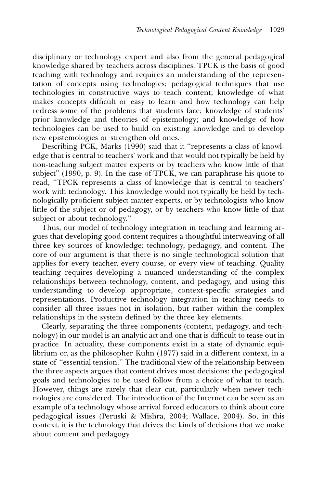disciplinary or technology expert and also from the general pedagogical knowledge shared by teachers across disciplines. TPCK is the basis of good teaching with technology and requires an understanding of the representation of concepts using technologies; pedagogical techniques that use technologies in constructive ways to teach content; knowledge of what makes concepts difficult or easy to learn and how technology can help redress some of the problems that students face; knowledge of students' prior knowledge and theories of epistemology; and knowledge of how technologies can be used to build on existing knowledge and to develop new epistemologies or strengthen old ones.

Describing PCK, Marks (1990) said that it ''represents a class of knowledge that is central to teachers' work and that would not typically be held by non-teaching subject matter experts or by teachers who know little of that subject'' (1990, p. 9). In the case of TPCK, we can paraphrase his quote to read, ''TPCK represents a class of knowledge that is central to teachers' work with technology. This knowledge would not typically be held by technologically proficient subject matter experts, or by technologists who know little of the subject or of pedagogy, or by teachers who know little of that subject or about technology.''

Thus, our model of technology integration in teaching and learning argues that developing good content requires a thoughtful interweaving of all three key sources of knowledge: technology, pedagogy, and content. The core of our argument is that there is no single technological solution that applies for every teacher, every course, or every view of teaching. Quality teaching requires developing a nuanced understanding of the complex relationships between technology, content, and pedagogy, and using this understanding to develop appropriate, context-specific strategies and representations. Productive technology integration in teaching needs to consider all three issues not in isolation, but rather within the complex relationships in the system defined by the three key elements.

Clearly, separating the three components (content, pedagogy, and technology) in our model is an analytic act and one that is difficult to tease out in practice. In actuality, these components exist in a state of dynamic equilibrium or, as the philosopher Kuhn (1977) said in a different context, in a state of ''essential tension.'' The traditional view of the relationship between the three aspects argues that content drives most decisions; the pedagogical goals and technologies to be used follow from a choice of what to teach. However, things are rarely that clear cut, particularly when newer technologies are considered. The introduction of the Internet can be seen as an example of a technology whose arrival forced educators to think about core pedagogical issues (Peruski & Mishra, 2004; Wallace, 2004). So, in this context, it is the technology that drives the kinds of decisions that we make about content and pedagogy.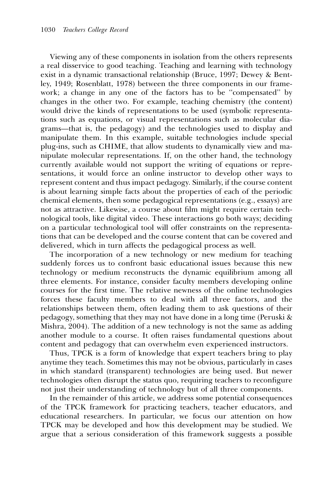Viewing any of these components in isolation from the others represents a real disservice to good teaching. Teaching and learning with technology exist in a dynamic transactional relationship (Bruce, 1997; Dewey & Bentley, 1949; Rosenblatt, 1978) between the three components in our framework; a change in any one of the factors has to be ''compensated'' by changes in the other two. For example, teaching chemistry (the content) would drive the kinds of representations to be used (symbolic representations such as equations, or visual representations such as molecular diagrams—that is, the pedagogy) and the technologies used to display and manipulate them. In this example, suitable technologies include special plug-ins, such as CHIME, that allow students to dynamically view and manipulate molecular representations. If, on the other hand, the technology currently available would not support the writing of equations or representations, it would force an online instructor to develop other ways to represent content and thus impact pedagogy. Similarly, if the course content is about learning simple facts about the properties of each of the periodic chemical elements, then some pedagogical representations (e.g., essays) are not as attractive. Likewise, a course about film might require certain technological tools, like digital video. These interactions go both ways; deciding on a particular technological tool will offer constraints on the representations that can be developed and the course content that can be covered and delivered, which in turn affects the pedagogical process as well.

The incorporation of a new technology or new medium for teaching suddenly forces us to confront basic educational issues because this new technology or medium reconstructs the dynamic equilibrium among all three elements. For instance, consider faculty members developing online courses for the first time. The relative newness of the online technologies forces these faculty members to deal with all three factors, and the relationships between them, often leading them to ask questions of their pedagogy, something that they may not have done in a long time (Peruski & Mishra, 2004). The addition of a new technology is not the same as adding another module to a course. It often raises fundamental questions about content and pedagogy that can overwhelm even experienced instructors.

Thus, TPCK is a form of knowledge that expert teachers bring to play anytime they teach. Sometimes this may not be obvious, particularly in cases in which standard (transparent) technologies are being used. But newer technologies often disrupt the status quo, requiring teachers to reconfigure not just their understanding of technology but of all three components.

In the remainder of this article, we address some potential consequences of the TPCK framework for practicing teachers, teacher educators, and educational researchers. In particular, we focus our attention on how TPCK may be developed and how this development may be studied. We argue that a serious consideration of this framework suggests a possible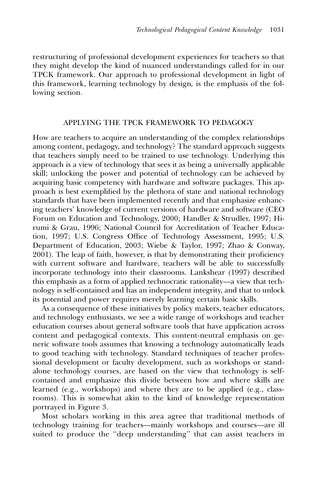restructuring of professional development experiences for teachers so that they might develop the kind of nuanced understandings called for in our TPCK framework. Our approach to professional development in light of this framework, learning technology by design, is the emphasis of the following section.

## APPLYING THE TPCK FRAMEWORK TO PEDAGOGY

How are teachers to acquire an understanding of the complex relationships among content, pedagogy, and technology? The standard approach suggests that teachers simply need to be trained to use technology. Underlying this approach is a view of technology that sees it as being a universally applicable skill; unlocking the power and potential of technology can be achieved by acquiring basic competency with hardware and software packages. This approach is best exemplified by the plethora of state and national technology standards that have been implemented recently and that emphasize enhancing teachers' knowledge of current versions of hardware and software (CEO Forum on Education and Technology, 2000; Handler & Strudler, 1997; Hirumi & Grau, 1996; National Council for Accreditation of Teacher Education, 1997; U.S. Congress Office of Technology Assessment, 1995; U.S. Department of Education, 2003; Wiebe & Taylor, 1997; Zhao & Conway, 2001). The leap of faith, however, is that by demonstrating their proficiency with current software and hardware, teachers will be able to successfully incorporate technology into their classrooms. Lankshear (1997) described this emphasis as a form of applied technocratic rationality—a view that technology is self-contained and has an independent integrity, and that to unlock its potential and power requires merely learning certain basic skills.

As a consequence of these initiatives by policy makers, teacher educators, and technology enthusiasts, we see a wide range of workshops and teacher education courses about general software tools that have application across content and pedagogical contexts. This content-neutral emphasis on generic software tools assumes that knowing a technology automatically leads to good teaching with technology. Standard techniques of teacher professional development or faculty development, such as workshops or standalone technology courses, are based on the view that technology is selfcontained and emphasize this divide between how and where skills are learned (e.g., workshops) and where they are to be applied (e.g., classrooms). This is somewhat akin to the kind of knowledge representation portrayed in Figure 3.

Most scholars working in this area agree that traditional methods of technology training for teachers—mainly workshops and courses—are ill suited to produce the ''deep understanding'' that can assist teachers in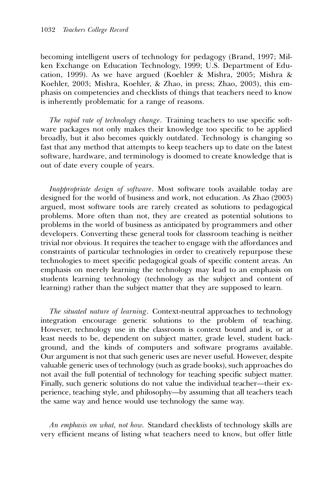becoming intelligent users of technology for pedagogy (Brand, 1997; Milken Exchange on Education Technology, 1999; U.S. Department of Education, 1999). As we have argued (Koehler & Mishra, 2005; Mishra & Koehler, 2003; Mishra, Koehler, & Zhao, in press; Zhao, 2003), this emphasis on competencies and checklists of things that teachers need to know is inherently problematic for a range of reasons.

The rapid rate of technology change. Training teachers to use specific software packages not only makes their knowledge too specific to be applied broadly, but it also becomes quickly outdated. Technology is changing so fast that any method that attempts to keep teachers up to date on the latest software, hardware, and terminology is doomed to create knowledge that is out of date every couple of years.

Inappropriate design of software. Most software tools available today are designed for the world of business and work, not education. As Zhao (2003) argued, most software tools are rarely created as solutions to pedagogical problems. More often than not, they are created as potential solutions to problems in the world of business as anticipated by programmers and other developers. Converting these general tools for classroom teaching is neither trivial nor obvious. It requires the teacher to engage with the affordances and constraints of particular technologies in order to creatively repurpose these technologies to meet specific pedagogical goals of specific content areas. An emphasis on merely learning the technology may lead to an emphasis on students learning technology (technology as the subject and content of learning) rather than the subject matter that they are supposed to learn.

The situated nature of learning. Context-neutral approaches to technology integration encourage generic solutions to the problem of teaching. However, technology use in the classroom is context bound and is, or at least needs to be, dependent on subject matter, grade level, student background, and the kinds of computers and software programs available. Our argument is not that such generic uses are never useful. However, despite valuable generic uses of technology (such as grade books), such approaches do not avail the full potential of technology for teaching specific subject matter. Finally, such generic solutions do not value the individual teacher—their experience, teaching style, and philosophy—by assuming that all teachers teach the same way and hence would use technology the same way.

An emphasis on what, not how. Standard checklists of technology skills are very efficient means of listing what teachers need to know, but offer little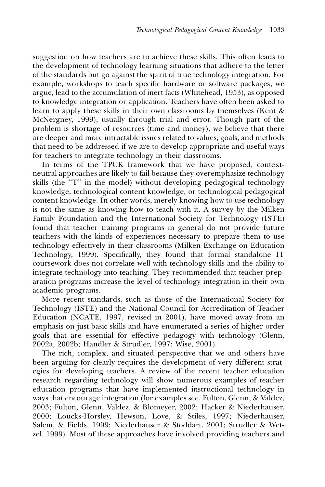suggestion on how teachers are to achieve these skills. This often leads to the development of technology learning situations that adhere to the letter of the standards but go against the spirit of true technology integration. For example, workshops to teach specific hardware or software packages, we argue, lead to the accumulation of inert facts (Whitehead, 1953), as opposed to knowledge integration or application. Teachers have often been asked to learn to apply these skills in their own classrooms by themselves (Kent & McNergney, 1999), usually through trial and error. Though part of the problem is shortage of resources (time and money), we believe that there are deeper and more intractable issues related to values, goals, and methods that need to be addressed if we are to develop appropriate and useful ways for teachers to integrate technology in their classrooms.

In terms of the TPCK framework that we have proposed, contextneutral approaches are likely to fail because they overemphasize technology skills (the ''T'' in the model) without developing pedagogical technology knowledge, technological content knowledge, or technological pedagogical content knowledge. In other words, merely knowing how to use technology is not the same as knowing how to teach with it. A survey by the Milken Family Foundation and the International Society for Technology (ISTE) found that teacher training programs in general do not provide future teachers with the kinds of experiences necessary to prepare them to use technology effectively in their classrooms (Milken Exchange on Education Technology, 1999). Specifically, they found that formal standalone IT coursework does not correlate well with technology skills and the ability to integrate technology into teaching. They recommended that teacher preparation programs increase the level of technology integration in their own academic programs.

More recent standards, such as those of the International Society for Technology (ISTE) and the National Council for Accreditation of Teacher Education (NCATE, 1997, revised in 2001), have moved away from an emphasis on just basic skills and have enumerated a series of higher order goals that are essential for effective pedagogy with technology (Glenn, 2002a, 2002b; Handler & Strudler, 1997; Wise, 2001).

The rich, complex, and situated perspective that we and others have been arguing for clearly requires the development of very different strategies for developing teachers. A review of the recent teacher education research regarding technology will show numerous examples of teacher education programs that have implemented instructional technology in ways that encourage integration (for examples see, Fulton, Glenn, & Valdez, 2003; Fulton, Glenn, Valdez, & Blomeyer, 2002; Hacker & Niederhauser, 2000; Loucks-Horsley, Hewson, Love, & Stiles, 1997; Niederhauser, Salem, & Fields, 1999; Niederhauser & Stoddart, 2001; Strudler & Wetzel, 1999). Most of these approaches have involved providing teachers and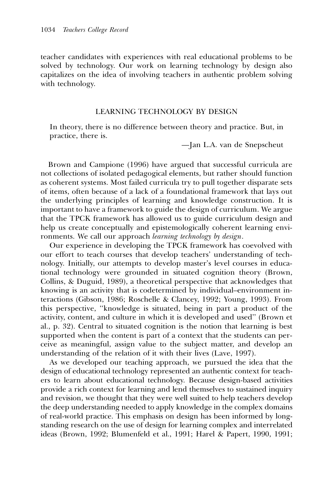teacher candidates with experiences with real educational problems to be solved by technology. Our work on learning technology by design also capitalizes on the idea of involving teachers in authentic problem solving with technology.

#### LEARNING TECHNOLOGY BY DESIGN

In theory, there is no difference between theory and practice. But, in practice, there is.

—Jan L.A. van de Snepscheut

Brown and Campione (1996) have argued that successful curricula are not collections of isolated pedagogical elements, but rather should function as coherent systems. Most failed curricula try to pull together disparate sets of items, often because of a lack of a foundational framework that lays out the underlying principles of learning and knowledge construction. It is important to have a framework to guide the design of curriculum. We argue that the TPCK framework has allowed us to guide curriculum design and help us create conceptually and epistemologically coherent learning environments. We call our approach learning technology by design.

Our experience in developing the TPCK framework has coevolved with our effort to teach courses that develop teachers' understanding of technology. Initially, our attempts to develop master's level courses in educational technology were grounded in situated cognition theory (Brown, Collins, & Duguid, 1989), a theoretical perspective that acknowledges that knowing is an activity that is codetermined by individual–environment interactions (Gibson, 1986; Roschelle & Clancey, 1992; Young, 1993). From this perspective, ''knowledge is situated, being in part a product of the activity, content, and culture in which it is developed and used'' (Brown et al., p. 32). Central to situated cognition is the notion that learning is best supported when the content is part of a context that the students can perceive as meaningful, assign value to the subject matter, and develop an understanding of the relation of it with their lives (Lave, 1997).

As we developed our teaching approach, we pursued the idea that the design of educational technology represented an authentic context for teachers to learn about educational technology. Because design-based activities provide a rich context for learning and lend themselves to sustained inquiry and revision, we thought that they were well suited to help teachers develop the deep understanding needed to apply knowledge in the complex domains of real-world practice. This emphasis on design has been informed by longstanding research on the use of design for learning complex and interrelated ideas (Brown, 1992; Blumenfeld et al., 1991; Harel & Papert, 1990, 1991;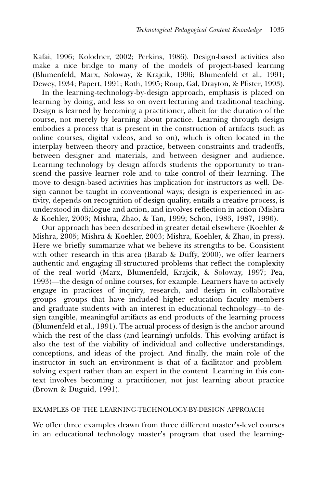Kafai, 1996; Kolodner, 2002; Perkins, 1986). Design-based activities also make a nice bridge to many of the models of project-based learning (Blumenfeld, Marx, Soloway, & Krajcik, 1996; Blumenfeld et al., 1991; Dewey, 1934; Papert, 1991; Roth, 1995; Roup, Gal, Drayton, & Pfister, 1993).

In the learning-technology-by-design approach, emphasis is placed on learning by doing, and less so on overt lecturing and traditional teaching. Design is learned by becoming a practitioner, albeit for the duration of the course, not merely by learning about practice. Learning through design embodies a process that is present in the construction of artifacts (such as online courses, digital videos, and so on), which is often located in the interplay between theory and practice, between constraints and tradeoffs, between designer and materials, and between designer and audience. Learning technology by design affords students the opportunity to transcend the passive learner role and to take control of their learning. The move to design-based activities has implication for instructors as well. Design cannot be taught in conventional ways; design is experienced in activity, depends on recognition of design quality, entails a creative process, is understood in dialogue and action, and involves reflection in action (Mishra & Koehler, 2003; Mishra, Zhao, & Tan, 1999; Schon, 1983, 1987, 1996).

Our approach has been described in greater detail elsewhere (Koehler & Mishra, 2005; Mishra & Koehler, 2003; Mishra, Koehler, & Zhao, in press). Here we briefly summarize what we believe its strengths to be. Consistent with other research in this area (Barab & Duffy, 2000), we offer learners authentic and engaging ill-structured problems that reflect the complexity of the real world (Marx, Blumenfeld, Krajcik, & Soloway, 1997; Pea, 1993)—the design of online courses, for example. Learners have to actively engage in practices of inquiry, research, and design in collaborative groups—groups that have included higher education faculty members and graduate students with an interest in educational technology—to design tangible, meaningful artifacts as end products of the learning process (Blumenfeld et al., 1991). The actual process of design is the anchor around which the rest of the class (and learning) unfolds. This evolving artifact is also the test of the viability of individual and collective understandings, conceptions, and ideas of the project. And finally, the main role of the instructor in such an environment is that of a facilitator and problemsolving expert rather than an expert in the content. Learning in this context involves becoming a practitioner, not just learning about practice (Brown & Duguid, 1991).

### EXAMPLES OF THE LEARNING-TECHNOLOGY-BY-DESIGN APPROACH

We offer three examples drawn from three different master's-level courses in an educational technology master's program that used the learning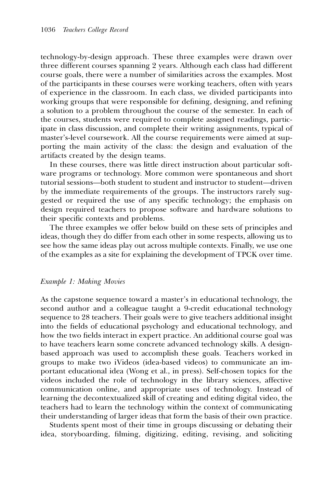technology-by-design approach. These three examples were drawn over three different courses spanning 2 years. Although each class had different course goals, there were a number of similarities across the examples. Most of the participants in these courses were working teachers, often with years of experience in the classroom. In each class, we divided participants into working groups that were responsible for defining, designing, and refining a solution to a problem throughout the course of the semester. In each of the courses, students were required to complete assigned readings, participate in class discussion, and complete their writing assignments, typical of master's-level coursework. All the course requirements were aimed at supporting the main activity of the class: the design and evaluation of the artifacts created by the design teams.

In these courses, there was little direct instruction about particular software programs or technology. More common were spontaneous and short tutorial sessions—both student to student and instructor to student—driven by the immediate requirements of the groups. The instructors rarely suggested or required the use of any specific technology; the emphasis on design required teachers to propose software and hardware solutions to their specific contexts and problems.

The three examples we offer below build on these sets of principles and ideas, though they do differ from each other in some respects, allowing us to see how the same ideas play out across multiple contexts. Finally, we use one of the examples as a site for explaining the development of TPCK over time.

## Example 1: Making Movies

As the capstone sequence toward a master's in educational technology, the second author and a colleague taught a 9-credit educational technology sequence to 28 teachers. Their goals were to give teachers additional insight into the fields of educational psychology and educational technology, and how the two fields interact in expert practice. An additional course goal was to have teachers learn some concrete advanced technology skills. A designbased approach was used to accomplish these goals. Teachers worked in groups to make two iVideos (idea-based videos) to communicate an important educational idea (Wong et al., in press). Self-chosen topics for the videos included the role of technology in the library sciences, affective communication online, and appropriate uses of technology. Instead of learning the decontextualized skill of creating and editing digital video, the teachers had to learn the technology within the context of communicating their understanding of larger ideas that form the basis of their own practice.

Students spent most of their time in groups discussing or debating their idea, storyboarding, filming, digitizing, editing, revising, and soliciting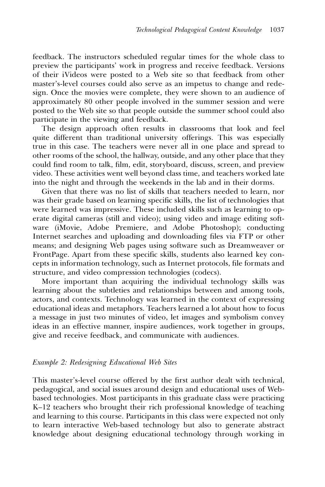feedback. The instructors scheduled regular times for the whole class to preview the participants' work in progress and receive feedback. Versions of their iVideos were posted to a Web site so that feedback from other master's-level courses could also serve as an impetus to change and redesign. Once the movies were complete, they were shown to an audience of approximately 80 other people involved in the summer session and were posted to the Web site so that people outside the summer school could also participate in the viewing and feedback.

The design approach often results in classrooms that look and feel quite different than traditional university offerings. This was especially true in this case. The teachers were never all in one place and spread to other rooms of the school, the hallway, outside, and any other place that they could find room to talk, film, edit, storyboard, discuss, screen, and preview video. These activities went well beyond class time, and teachers worked late into the night and through the weekends in the lab and in their dorms.

Given that there was no list of skills that teachers needed to learn, nor was their grade based on learning specific skills, the list of technologies that were learned was impressive. These included skills such as learning to operate digital cameras (still and video); using video and image editing software (iMovie, Adobe Premiere, and Adobe Photoshop); conducting Internet searches and uploading and downloading files via FTP or other means; and designing Web pages using software such as Dreamweaver or FrontPage. Apart from these specific skills, students also learned key concepts in information technology, such as Internet protocols, file formats and structure, and video compression technologies (codecs).

More important than acquiring the individual technology skills was learning about the subtleties and relationships between and among tools, actors, and contexts. Technology was learned in the context of expressing educational ideas and metaphors. Teachers learned a lot about how to focus a message in just two minutes of video, let images and symbolism convey ideas in an effective manner, inspire audiences, work together in groups, give and receive feedback, and communicate with audiences.

## Example 2: Redesigning Educational Web Sites

This master's-level course offered by the first author dealt with technical, pedagogical, and social issues around design and educational uses of Webbased technologies. Most participants in this graduate class were practicing K–12 teachers who brought their rich professional knowledge of teaching and learning to this course. Participants in this class were expected not only to learn interactive Web-based technology but also to generate abstract knowledge about designing educational technology through working in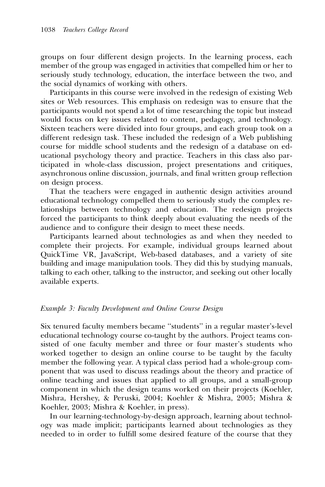groups on four different design projects. In the learning process, each member of the group was engaged in activities that compelled him or her to seriously study technology, education, the interface between the two, and the social dynamics of working with others.

Participants in this course were involved in the redesign of existing Web sites or Web resources. This emphasis on redesign was to ensure that the participants would not spend a lot of time researching the topic but instead would focus on key issues related to content, pedagogy, and technology. Sixteen teachers were divided into four groups, and each group took on a different redesign task. These included the redesign of a Web publishing course for middle school students and the redesign of a database on educational psychology theory and practice. Teachers in this class also participated in whole-class discussion, project presentations and critiques, asynchronous online discussion, journals, and final written group reflection on design process.

That the teachers were engaged in authentic design activities around educational technology compelled them to seriously study the complex relationships between technology and education. The redesign projects forced the participants to think deeply about evaluating the needs of the audience and to configure their design to meet these needs.

Participants learned about technologies as and when they needed to complete their projects. For example, individual groups learned about QuickTime VR, JavaScript, Web-based databases, and a variety of site building and image manipulation tools. They did this by studying manuals, talking to each other, talking to the instructor, and seeking out other locally available experts.

# Example 3: Faculty Development and Online Course Design

Six tenured faculty members became ''students'' in a regular master's-level educational technology course co-taught by the authors. Project teams consisted of one faculty member and three or four master's students who worked together to design an online course to be taught by the faculty member the following year. A typical class period had a whole-group component that was used to discuss readings about the theory and practice of online teaching and issues that applied to all groups, and a small-group component in which the design teams worked on their projects (Koehler, Mishra, Hershey, & Peruski, 2004; Koehler & Mishra, 2005; Mishra & Koehler, 2003; Mishra & Koehler, in press).

In our learning-technology-by-design approach, learning about technology was made implicit; participants learned about technologies as they needed to in order to fulfill some desired feature of the course that they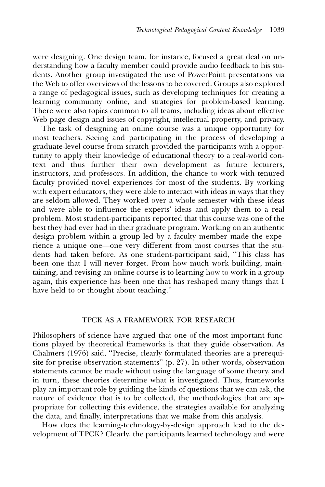were designing. One design team, for instance, focused a great deal on understanding how a faculty member could provide audio feedback to his students. Another group investigated the use of PowerPoint presentations via the Web to offer overviews of the lessons to be covered. Groups also explored a range of pedagogical issues, such as developing techniques for creating a learning community online, and strategies for problem-based learning. There were also topics common to all teams, including ideas about effective Web page design and issues of copyright, intellectual property, and privacy.

The task of designing an online course was a unique opportunity for most teachers. Seeing and participating in the process of developing a graduate-level course from scratch provided the participants with a opportunity to apply their knowledge of educational theory to a real-world context and thus further their own development as future lecturers, instructors, and professors. In addition, the chance to work with tenured faculty provided novel experiences for most of the students. By working with expert educators, they were able to interact with ideas in ways that they are seldom allowed. They worked over a whole semester with these ideas and were able to influence the experts' ideas and apply them to a real problem. Most student-participants reported that this course was one of the best they had ever had in their graduate program. Working on an authentic design problem within a group led by a faculty member made the experience a unique one—one very different from most courses that the students had taken before. As one student-participant said, ''This class has been one that I will never forget. From how much work building, maintaining, and revising an online course is to learning how to work in a group again, this experience has been one that has reshaped many things that I have held to or thought about teaching.''

### TPCK AS A FRAMEWORK FOR RESEARCH

Philosophers of science have argued that one of the most important functions played by theoretical frameworks is that they guide observation. As Chalmers (1976) said, ''Precise, clearly formulated theories are a prerequisite for precise observation statements'' (p. 27). In other words, observation statements cannot be made without using the language of some theory, and in turn, these theories determine what is investigated. Thus, frameworks play an important role by guiding the kinds of questions that we can ask, the nature of evidence that is to be collected, the methodologies that are appropriate for collecting this evidence, the strategies available for analyzing the data, and finally, interpretations that we make from this analysis.

How does the learning-technology-by-design approach lead to the development of TPCK? Clearly, the participants learned technology and were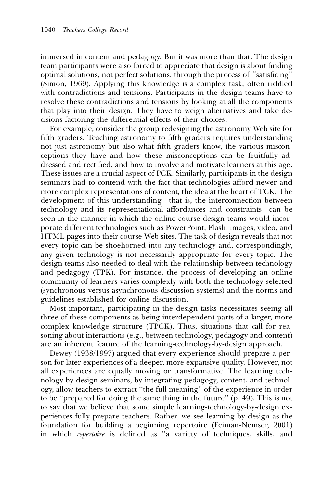immersed in content and pedagogy. But it was more than that. The design team participants were also forced to appreciate that design is about finding optimal solutions, not perfect solutions, through the process of ''satisficing'' (Simon, 1969). Applying this knowledge is a complex task, often riddled with contradictions and tensions. Participants in the design teams have to resolve these contradictions and tensions by looking at all the components that play into their design. They have to weigh alternatives and take decisions factoring the differential effects of their choices.

For example, consider the group redesigning the astronomy Web site for fifth graders. Teaching astronomy to fifth graders requires understanding not just astronomy but also what fifth graders know, the various misconceptions they have and how these misconceptions can be fruitfully addressed and rectified, and how to involve and motivate learners at this age. These issues are a crucial aspect of PCK. Similarly, participants in the design seminars had to contend with the fact that technologies afford newer and more complex representations of content, the idea at the heart of TCK. The development of this understanding—that is, the interconnection between technology and its representational affordances and constraints—can be seen in the manner in which the online course design teams would incorporate different technologies such as PowerPoint, Flash, images, video, and HTML pages into their course Web sites. The task of design reveals that not every topic can be shoehorned into any technology and, correspondingly, any given technology is not necessarily appropriate for every topic. The design teams also needed to deal with the relationship between technology and pedagogy (TPK). For instance, the process of developing an online community of learners varies complexly with both the technology selected (synchronous versus asynchronous discussion systems) and the norms and guidelines established for online discussion.

Most important, participating in the design tasks necessitates seeing all three of these components as being interdependent parts of a larger, more complex knowledge structure (TPCK). Thus, situations that call for reasoning about interactions (e.g., between technology, pedagogy and content) are an inherent feature of the learning-technology-by-design approach.

Dewey (1938/1997) argued that every experience should prepare a person for later experiences of a deeper, more expansive quality. However, not all experiences are equally moving or transformative. The learning technology by design seminars, by integrating pedagogy, content, and technology, allow teachers to extract ''the full meaning'' of the experience in order to be ''prepared for doing the same thing in the future'' (p. 49). This is not to say that we believe that some simple learning-technology-by-design experiences fully prepare teachers. Rather, we see learning by design as the foundation for building a beginning repertoire (Feiman-Nemser, 2001) in which repertoire is defined as ''a variety of techniques, skills, and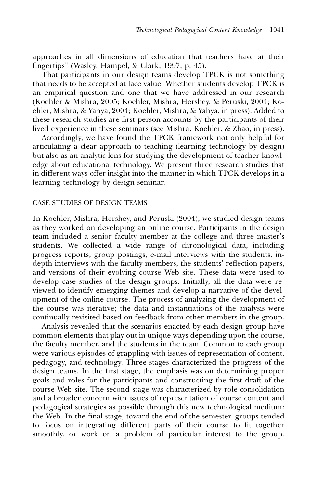approaches in all dimensions of education that teachers have at their fingertips'' (Wasley, Hampel, & Clark, 1997, p. 45).

That participants in our design teams develop TPCK is not something that needs to be accepted at face value. Whether students develop TPCK is an empirical question and one that we have addressed in our research (Koehler & Mishra, 2005; Koehler, Mishra, Hershey, & Peruski, 2004; Koehler, Mishra, & Yahya, 2004; Koehler, Mishra, & Yahya, in press). Added to these research studies are first-person accounts by the participants of their lived experience in these seminars (see Mishra, Koehler, & Zhao, in press).

Accordingly, we have found the TPCK framework not only helpful for articulating a clear approach to teaching (learning technology by design) but also as an analytic lens for studying the development of teacher knowledge about educational technology. We present three research studies that in different ways offer insight into the manner in which TPCK develops in a learning technology by design seminar.

#### CASE STUDIES OF DESIGN TEAMS

In Koehler, Mishra, Hershey, and Peruski (2004), we studied design teams as they worked on developing an online course. Participants in the design team included a senior faculty member at the college and three master's students. We collected a wide range of chronological data, including progress reports, group postings, e-mail interviews with the students, indepth interviews with the faculty members, the students' reflection papers, and versions of their evolving course Web site. These data were used to develop case studies of the design groups. Initially, all the data were reviewed to identify emerging themes and develop a narrative of the development of the online course. The process of analyzing the development of the course was iterative; the data and instantiations of the analysis were continually revisited based on feedback from other members in the group.

Analysis revealed that the scenarios enacted by each design group have common elements that play out in unique ways depending upon the course, the faculty member, and the students in the team. Common to each group were various episodes of grappling with issues of representation of content, pedagogy, and technology. Three stages characterized the progress of the design teams. In the first stage, the emphasis was on determining proper goals and roles for the participants and constructing the first draft of the course Web site. The second stage was characterized by role consolidation and a broader concern with issues of representation of course content and pedagogical strategies as possible through this new technological medium: the Web. In the final stage, toward the end of the semester, groups tended to focus on integrating different parts of their course to fit together smoothly, or work on a problem of particular interest to the group.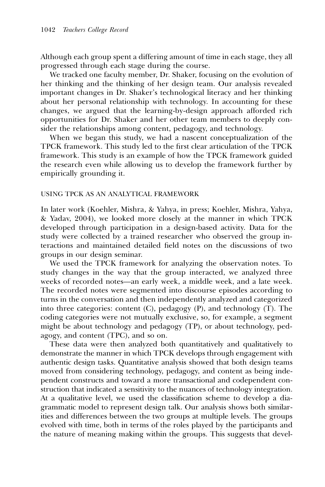Although each group spent a differing amount of time in each stage, they all progressed through each stage during the course.

We tracked one faculty member, Dr. Shaker, focusing on the evolution of her thinking and the thinking of her design team. Our analysis revealed important changes in Dr. Shaker's technological literacy and her thinking about her personal relationship with technology. In accounting for these changes, we argued that the learning-by-design approach afforded rich opportunities for Dr. Shaker and her other team members to deeply consider the relationships among content, pedagogy, and technology.

When we began this study, we had a nascent conceptualization of the TPCK framework. This study led to the first clear articulation of the TPCK framework. This study is an example of how the TPCK framework guided the research even while allowing us to develop the framework further by empirically grounding it.

## USING TPCK AS AN ANALYTICAL FRAMEWORK

In later work (Koehler, Mishra, & Yahya, in press; Koehler, Mishra, Yahya, & Yadav, 2004), we looked more closely at the manner in which TPCK developed through participation in a design-based activity. Data for the study were collected by a trained researcher who observed the group interactions and maintained detailed field notes on the discussions of two groups in our design seminar.

We used the TPCK framework for analyzing the observation notes. To study changes in the way that the group interacted, we analyzed three weeks of recorded notes—an early week, a middle week, and a late week. The recorded notes were segmented into discourse episodes according to turns in the conversation and then independently analyzed and categorized into three categories: content (C), pedagogy (P), and technology (T). The coding categories were not mutually exclusive, so, for example, a segment might be about technology and pedagogy (TP), or about technology, pedagogy, and content (TPC), and so on.

These data were then analyzed both quantitatively and qualitatively to demonstrate the manner in which TPCK develops through engagement with authentic design tasks. Quantitative analysis showed that both design teams moved from considering technology, pedagogy, and content as being independent constructs and toward a more transactional and codependent construction that indicated a sensitivity to the nuances of technology integration. At a qualitative level, we used the classification scheme to develop a diagrammatic model to represent design talk. Our analysis shows both similarities and differences between the two groups at multiple levels. The groups evolved with time, both in terms of the roles played by the participants and the nature of meaning making within the groups. This suggests that devel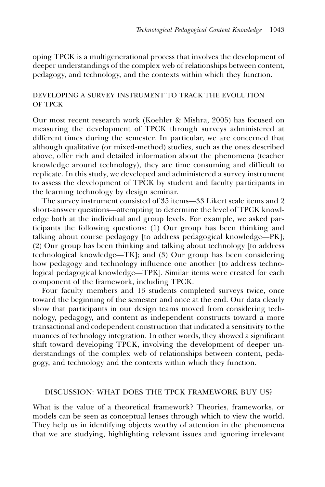oping TPCK is a multigenerational process that involves the development of deeper understandings of the complex web of relationships between content, pedagogy, and technology, and the contexts within which they function.

# DEVELOPING A SURVEY INSTRUMENT TO TRACK THE EVOLUTION OF TPCK

Our most recent research work (Koehler & Mishra, 2005) has focused on measuring the development of TPCK through surveys administered at different times during the semester. In particular, we are concerned that although qualitative (or mixed-method) studies, such as the ones described above, offer rich and detailed information about the phenomena (teacher knowledge around technology), they are time consuming and difficult to replicate. In this study, we developed and administered a survey instrument to assess the development of TPCK by student and faculty participants in the learning technology by design seminar.

The survey instrument consisted of 35 items—33 Likert scale items and 2 short-answer questions—attempting to determine the level of TPCK knowledge both at the individual and group levels. For example, we asked participants the following questions: (1) Our group has been thinking and talking about course pedagogy [to address pedagogical knowledge—PK]; (2) Our group has been thinking and talking about technology [to address technological knowledge—TK]; and (3) Our group has been considering how pedagogy and technology influence one another [to address technological pedagogical knowledge—TPK]. Similar items were created for each component of the framework, including TPCK.

Four faculty members and 13 students completed surveys twice, once toward the beginning of the semester and once at the end. Our data clearly show that participants in our design teams moved from considering technology, pedagogy, and content as independent constructs toward a more transactional and codependent construction that indicated a sensitivity to the nuances of technology integration. In other words, they showed a significant shift toward developing TPCK, involving the development of deeper understandings of the complex web of relationships between content, pedagogy, and technology and the contexts within which they function.

## DISCUSSION: WHAT DOES THE TPCK FRAMEWORK BUY US?

What is the value of a theoretical framework? Theories, frameworks, or models can be seen as conceptual lenses through which to view the world. They help us in identifying objects worthy of attention in the phenomena that we are studying, highlighting relevant issues and ignoring irrelevant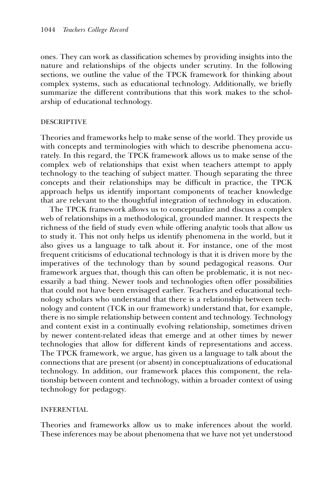ones. They can work as classification schemes by providing insights into the nature and relationships of the objects under scrutiny. In the following sections, we outline the value of the TPCK framework for thinking about complex systems, such as educational technology. Additionally, we briefly summarize the different contributions that this work makes to the scholarship of educational technology.

## DESCRIPTIVE

Theories and frameworks help to make sense of the world. They provide us with concepts and terminologies with which to describe phenomena accurately. In this regard, the TPCK framework allows us to make sense of the complex web of relationships that exist when teachers attempt to apply technology to the teaching of subject matter. Though separating the three concepts and their relationships may be difficult in practice, the TPCK approach helps us identify important components of teacher knowledge that are relevant to the thoughtful integration of technology in education.

The TPCK framework allows us to conceptualize and discuss a complex web of relationships in a methodological, grounded manner. It respects the richness of the field of study even while offering analytic tools that allow us to study it. This not only helps us identify phenomena in the world, but it also gives us a language to talk about it. For instance, one of the most frequent criticisms of educational technology is that it is driven more by the imperatives of the technology than by sound pedagogical reasons. Our framework argues that, though this can often be problematic, it is not necessarily a bad thing. Newer tools and technologies often offer possibilities that could not have been envisaged earlier. Teachers and educational technology scholars who understand that there is a relationship between technology and content (TCK in our framework) understand that, for example, there is no simple relationship between content and technology. Technology and content exist in a continually evolving relationship, sometimes driven by newer content-related ideas that emerge and at other times by newer technologies that allow for different kinds of representations and access. The TPCK framework, we argue, has given us a language to talk about the connections that are present (or absent) in conceptualizations of educational technology. In addition, our framework places this component, the relationship between content and technology, within a broader context of using technology for pedagogy.

## INFERENTIAL

Theories and frameworks allow us to make inferences about the world. These inferences may be about phenomena that we have not yet understood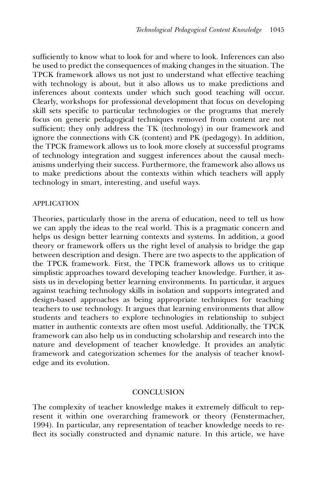sufficiently to know what to look for and where to look. Inferences can also be used to predict the consequences of making changes in the situation. The TPCK framework allows us not just to understand what effective teaching with technology is about, but it also allows us to make predictions and inferences about contexts under which such good teaching will occur. Clearly, workshops for professional development that focus on developing skill sets specific to particular technologies or the programs that merely focus on generic pedagogical techniques removed from content are not sufficient; they only address the TK (technology) in our framework and ignore the connections with CK (content) and PK (pedagogy). In addition, the TPCK framework allows us to look more closely at successful programs of technology integration and suggest inferences about the causal mechanisms underlying their success. Furthermore, the framework also allows us to make predictions about the contexts within which teachers will apply technology in smart, interesting, and useful ways.

### APPLICATION

Theories, particularly those in the arena of education, need to tell us how we can apply the ideas to the real world. This is a pragmatic concern and helps us design better learning contexts and systems. In addition, a good theory or framework offers us the right level of analysis to bridge the gap between description and design. There are two aspects to the application of the TPCK framework. First, the TPCK framework allows us to critique simplistic approaches toward developing teacher knowledge. Further, it assists us in developing better learning environments. In particular, it argues against teaching technology skills in isolation and supports integrated and design-based approaches as being appropriate techniques for teaching teachers to use technology. It argues that learning environments that allow students and teachers to explore technologies in relationship to subject matter in authentic contexts are often most useful. Additionally, the TPCK framework can also help us in conducting scholarship and research into the nature and development of teacher knowledge. It provides an analytic framework and categorization schemes for the analysis of teacher knowledge and its evolution.

#### **CONCLUSION**

The complexity of teacher knowledge makes it extremely difficult to represent it within one overarching framework or theory (Fenstermacher, 1994). In particular, any representation of teacher knowledge needs to reflect its socially constructed and dynamic nature. In this article, we have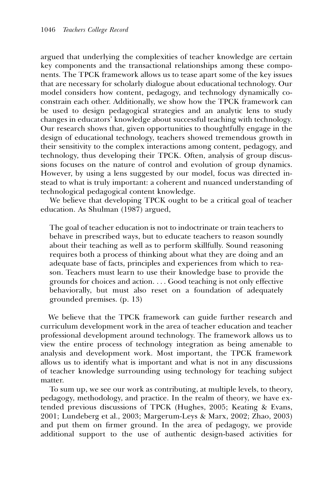argued that underlying the complexities of teacher knowledge are certain key components and the transactional relationships among these components. The TPCK framework allows us to tease apart some of the key issues that are necessary for scholarly dialogue about educational technology. Our model considers how content, pedagogy, and technology dynamically coconstrain each other. Additionally, we show how the TPCK framework can be used to design pedagogical strategies and an analytic lens to study changes in educators' knowledge about successful teaching with technology. Our research shows that, given opportunities to thoughtfully engage in the design of educational technology, teachers showed tremendous growth in their sensitivity to the complex interactions among content, pedagogy, and technology, thus developing their TPCK. Often, analysis of group discussions focuses on the nature of control and evolution of group dynamics. However, by using a lens suggested by our model, focus was directed instead to what is truly important: a coherent and nuanced understanding of technological pedagogical content knowledge.

We believe that developing TPCK ought to be a critical goal of teacher education. As Shulman (1987) argued,

The goal of teacher education is not to indoctrinate or train teachers to behave in prescribed ways, but to educate teachers to reason soundly about their teaching as well as to perform skillfully. Sound reasoning requires both a process of thinking about what they are doing and an adequate base of facts, principles and experiences from which to reason. Teachers must learn to use their knowledge base to provide the grounds for choices and action. . . . Good teaching is not only effective behaviorally, but must also reset on a foundation of adequately grounded premises. (p. 13)

We believe that the TPCK framework can guide further research and curriculum development work in the area of teacher education and teacher professional development around technology. The framework allows us to view the entire process of technology integration as being amenable to analysis and development work. Most important, the TPCK framework allows us to identify what is important and what is not in any discussions of teacher knowledge surrounding using technology for teaching subject matter.

To sum up, we see our work as contributing, at multiple levels, to theory, pedagogy, methodology, and practice. In the realm of theory, we have extended previous discussions of TPCK (Hughes, 2005; Keating & Evans, 2001; Lundeberg et al., 2003; Margerum-Leys & Marx, 2002; Zhao, 2003) and put them on firmer ground. In the area of pedagogy, we provide additional support to the use of authentic design-based activities for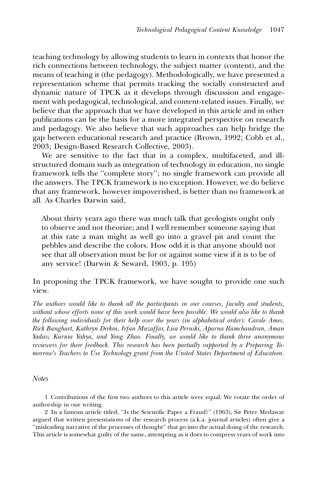teaching technology by allowing students to learn in contexts that honor the rich connections between technology, the subject matter (content), and the means of teaching it (the pedagogy). Methodologically, we have presented a representation scheme that permits tracking the socially constructed and dynamic nature of TPCK as it develops through discussion and engagement with pedagogical, technological, and content-related issues. Finally, we believe that the approach that we have developed in this article and in other publications can be the basis for a more integrated perspective on research and pedagogy. We also believe that such approaches can help bridge the gap between educational research and practice (Brown, 1992; Cobb et al., 2003; Design-Based Research Collective, 2003).

We are sensitive to the fact that in a complex, multifaceted, and illstructured domain such as integration of technology in education, no single framework tells the ''complete story''; no single framework can provide all the answers. The TPCK framework is no exception. However, we do believe that any framework, however impoverished, is better than no framework at all. As Charles Darwin said,

About thirty years ago there was much talk that geologists ought only to observe and not theorize; and I well remember someone saying that at this rate a man might as well go into a gravel pit and count the pebbles and describe the colors. How odd it is that anyone should not see that all observation must be for or against some view if it is to be of any service! (Darwin & Seward, 1903, p. 195)

In proposing the TPCK framework, we have sought to provide one such view.

The authors would like to thank all the participants in our courses, faculty and students, without whose efforts none of this work would have been possible. We would also like to thank the following individuals for their help over the years (in alphabetical order): Carole Ames, Rick Banghart, Kathryn Dirkin, Irfan Muzaffar, Lisa Peruski, Aparna Ramchandran, Aman Yadav, Kurnia Yahya, and Yong Zhao. Finally, we would like to thank three anonymous reviewers for their feedback. This research has been partially supported by a Preparing Tomorrow's Teachers to Use Technology grant from the United States Department of Education.

#### **Notes**

1 Contributions of the first two authors to this article were equal. We rotate the order of authorship in our writing.

2 In a famous article titled, ''Is the Scientific Paper a Fraud?'' (1963), Sir Peter Medawar argued that written presentations of the research process (a.k.a. journal articles) often give a ''misleading narrative of the processes of thought'' that go into the actual doing of the research.

This article is somewhat guilty of the same, attempting as it does to compress years of work into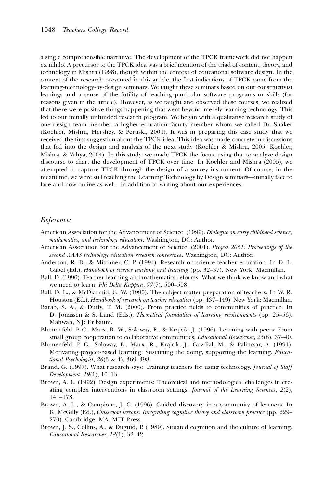a single comprehensible narrative. The development of the TPCK framework did not happen ex nihilo. A precursor to the TPCK idea was a brief mention of the triad of content, theory, and technology in Mishra (1998), though within the context of educational software design. In the context of the research presented in this article, the first indications of TPCK came from the learning-technology-by-design seminars. We taught these seminars based on our constructivist leanings and a sense of the futility of teaching particular software programs or skills (for reasons given in the article). However, as we taught and observed these courses, we realized that there were positive things happening that went beyond merely learning technology. This led to our initially unfunded research program. We began with a qualitative research study of one design team member, a higher education faculty member whom we called Dr. Shaker (Koehler, Mishra, Hershey, & Peruski, 2004). It was in preparing this case study that we received the first suggestion about the TPCK idea. This idea was made concrete in discussions that fed into the design and analysis of the next study (Koehler & Mishra, 2005; Koehler, Mishra, & Yahya, 2004). In this study, we made TPCK the focus, using that to analyze design discourse to chart the development of TPCK over time. In Koehler and Mishra (2005), we attempted to capture TPCK through the design of a survey instrument. Of course, in the meantime, we were still teaching the Learning Technology by Design seminars—initially face to face and now online as well—in addition to writing about our experiences.

#### References

- American Association for the Advancement of Science. (1999). Dialogue on early childhood science, mathematics, and technology education. Washington, DC: Author.
- American Association for the Advancement of Science. (2001). Project 2061: Proceedings of the second AAAS technology education research conference. Washington, DC: Author.
- Anderson, R. D., & Mitchner, C. P. (1994). Research on science teacher education. In D. L. Gabel (Ed.), Handbook of science teaching and learning (pp. 32–37). New York: Macmillan.
- Ball, D. (1996). Teacher learning and mathematics reforms: What we think we know and what we need to learn. Phi Delta Kappan, 77(7), 500-508.
- Ball, D. L., & McDiarmid, G. W. (1990). The subject matter preparation of teachers. In W. R. Houston (Ed.), Handbook of research on teacher education (pp. 437–449). New York: Macmillan.
- Barab, S. A., & Duffy, T. M. (2000). From practice fields to communities of practice. In D. Jonassen & S. Land (Eds.), Theoretical foundation of learning environments (pp. 25–56). Mahwah, NJ: Erlbaum.
- Blumenfeld, P. C., Marx, R. W., Soloway, E., & Krajcik, J. (1996). Learning with peers: From small group cooperation to collaborative communities. Educational Researcher, 25(8), 37-40.
- Blumenfeld, P. C., Soloway, E., Marx, R., Krajcik, J., Guzdial, M., & Palincsar, A. (1991). Motivating project-based learning: Sustaining the doing, supporting the learning. Educational Psychologist, 26(3 & 4), 369–398.
- Brand, G. (1997). What research says: Training teachers for using technology. Journal of Staff Development, 19(1), 10–13.
- Brown, A. L. (1992). Design experiments: Theoretical and methodological challenges in creating complex interventions in classroom settings. Journal of the Learning Sciences, 2(2), 141–178.
- Brown, A. L., & Campione, J. C. (1996). Guided discovery in a community of learners. In K. McGilly (Ed.), Classroom lessons: Integrating cognitive theory and classroom practice (pp. 229– 270). Cambridge, MA: MIT Press.
- Brown, J. S., Collins, A., & Duguid, P. (1989). Situated cognition and the culture of learning. Educational Researcher, 18(1), 32–42.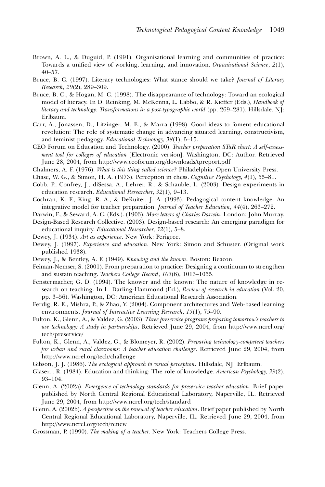- Brown, A. L., & Duguid, P. (1991). Organisational learning and communities of practice: Towards a unified view of working, learning, and innovation. Organisational Science, 2(1), 40–57.
- Bruce, B. C. (1997). Literacy technologies: What stance should we take? Journal of Literacy Research, 29(2), 289–309.
- Bruce, B. C., & Hogan, M. C. (1998). The disappearance of technology: Toward an ecological model of literacy. In D. Reinking, M. McKenna, L. Labbo, & R. Kieffer (Eds.), *Handbook of* literacy and technology: Transformations in a post-typographic world (pp. 269–281). Hillsdale, NJ: Erlbaum.
- Carr, A., Jonassen, D., Litzinger, M. E., & Marra (1998). Good ideas to foment educational revolution: The role of systematic change in advancing situated learning, constructivism, and feminist pedagogy. Educational Technology, 38(1), 5–15.
- CEO Forum on Education and Technology. (2000). Teacher preparation STaR chart: A self-assessment tool for colleges of education [Electronic version]. Washington, DC: Author. Retrieved June 28, 2004, from http://www.ceoforum.org/downloads/tpreport.pdf
- Chalmers, A. F. (1976). What is this thing called science? Philadelphia: Open University Press.
- Chase, W. G., & Simon, H. A. (1973). Perception in chess. Cognitive Psychology, 4(1), 55–81.
- Cobb, P., Confrey, J., diSessa, A., Lehrer, R., & Schauble, L. (2003). Design experiments in education research. Educational Researcher, 32(1), 9–13.
- Cochran, K. F., King, R. A., & DeRuiter, J. A. (1993). Pedagogical content knowledge: An integrative model for teacher preparation. Journal of Teacher Education, 44(4), 263–272.
- Darwin, F., & Seward, A. C. (Eds.). (1903). More letters of Charles Darwin. London: John Murray.
- Design-Based Research Collective. (2003). Design-based research: An emerging paradigm for educational inquiry. Educational Researcher, 32(1), 5–8.
- Dewey, J. (1934). Art as experience. New York: Perigree.
- Dewey, J. (1997). Experience and education. New York: Simon and Schuster. (Original work published 1938).
- Dewey, J., & Bentley, A. F. (1949). *Knowing and the known*. Boston: Beacon.
- Feiman-Nemser, S. (2001). From preparation to practice: Designing a continuum to strengthen and sustain teaching. Teachers College Record, 103(6), 1013–1055.
- Fenstermacher, G. D. (1994). The knower and the known: The nature of knowledge in research on teaching. In L. Darling-Hammond (Ed.), Review of research in education (Vol. 20, pp. 3–56). Washington, DC: American Educational Research Association.
- Ferdig, R. E., Mishra, P., & Zhao, Y. (2004). Component architectures and Web-based learning environments. Journal of Interactive Learning Research, 15(1), 75–90.
- Fulton, K., Glenn, A., & Valdez, G. (2003). Three preservice programs preparing tomorrow's teachers to use technology: A study in partnerships. Retrieved June 29, 2004, from http://www.ncrel.org/ tech/preservice/
- Fulton, K., Glenn, A., Valdez, G., & Blomeyer, R. (2002). Preparing technology-competent teachers for urban and rural classrooms: A teacher education challenge. Retrieved June 29, 2004, from http://www.ncrel.org/tech/challenge
- Gibson, J. J. (1986). The ecological approach to visual perception. Hillsdale, NJ: Erlbaum.
- Glaser, . R. (1984). Education and thinking: The role of knowledge. American Psychology, 39(2), 93–104.
- Glenn, A. (2002a). Emergence of technology standards for preservice teacher education. Brief paper published by North Central Regional Educational Laboratory, Naperville, IL. Retrieved June 29, 2004, from http://www.ncrel.org/tech/standard
- Glenn, A. (2002b). A perspective on the renewal of teacher education. Brief paper published by North Central Regional Educational Laboratory, Naperville, IL. Retrieved June 29, 2004, from http://www.ncrel.org/tech/renew
- Grossman, P. (1990). The making of a teacher. New York: Teachers College Press.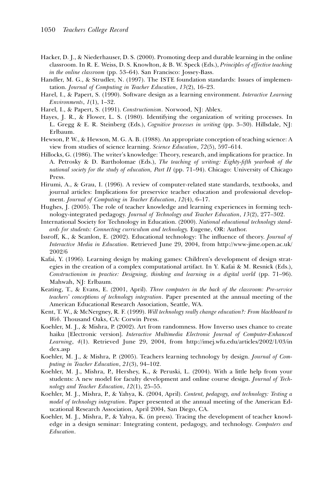- Hacker, D. J., & Niederhauser, D. S. (2000). Promoting deep and durable learning in the online classroom. In R. E. Weiss, D. S. Knowlton, & B. W. Speck (Eds.), Principles of effective teaching in the online classroom (pp. 53–64). San Francisco: Jossey-Bass.
- Handler, M. G., & Strudler, N. (1997). The ISTE foundation standards: Issues of implementation. Journal of Computing in Teacher Education, 13(2), 16–23.
- Harel, I., & Papert, S. (1990). Software design as a learning environment. Interactive Learning Environments, 1(1), 1–32.
- Harel, I., & Papert, S. (1991). Constructionism. Norwood, NJ: Ablex.
- Hayes, J. R., & Flower, L. S. (1980). Identifying the organization of writing processes. In L. Gregg & E. R. Steinberg (Eds.), Cognitive processes in writing (pp. 3-30). Hillsdale, NJ: Erlbaum.
- Hewson, P. W., & Hewson, M. G. A. B. (1988). An appropriate conception of teaching science: A view from studies of science learning. Science Education, 72(5), 597–614.
- Hillocks, G. (1986). The writer's knowledge: Theory, research, and implications for practice. In A. Petrosky & D. Bartholomae (Eds.), The teaching of writing: Eighty-fifth yearbook of the national society for the study of education, Part II (pp. 71–94). Chicago: University of Chicago Press.
- Hirumi, A., & Grau, I. (1996). A review of computer-related state standards, textbooks, and journal articles: Implications for preservice teacher education and professional development. Journal of Computing in Teacher Education, 12(4), 6–17.
- Hughes, J. (2005). The role of teacher knowledge and learning experiences in forming technology-integrated pedagogy. Journal of Technology and Teacher Education, 13(2), 277–302.
- International Society for Technology in Education. (2000). National educational technology standards for students: Connecting curriculum and technology. Eugene, OR: Author.
- Issroff, K., & Scanlon, E. (2002). Educational technology: The influence of theory. Journal of Interactive Media in Education. Retrieved June 29, 2004, from http://www-jime.open.ac.uk/ 2002/6
- Kafai, Y. (1996). Learning design by making games: Children's development of design strategies in the creation of a complex computational artifact. In Y. Kafai & M. Resnick (Eds.), Constructionism in practice: Designing, thinking and learning in a digital world (pp. 71–96). Mahwah, NJ: Erlbaum.
- Keating, T., & Evans, E. (2001, April). Three computers in the back of the classroom: Pre-service teachers' conceptions of technology integration. Paper presented at the annual meeting of the American Educational Research Association, Seattle, WA.
- Kent, T. W., & McNergney, R. F. (1999). Will technology really change education?: From blackboard to Web. Thousand Oaks, CA: Corwin Press.
- Koehler, M. J., & Mishra, P. (2002). Art from randomness. How Inverso uses chance to create haiku [Electronic version]. Interactive Multimedia Electronic Journal of Computer-Enhanced Learning, 4(1). Retrieved June 29, 2004, from http://imej.wfu.edu/articles/2002/1/03/in dex.asp
- Koehler, M. J., & Mishra, P. (2005). Teachers learning technology by design. Journal of Computing in Teacher Education, 21(3), 94–102.
- Koehler, M. J., Mishra, P., Hershey, K., & Peruski, L. (2004). With a little help from your students: A new model for faculty development and online course design. Journal of Technology and Teacher Education, 12(1), 25–55.
- Koehler, M. J., Mishra, P., & Yahya, K. (2004, April). Content, pedagogy, and technology: Testing a model of technology integration. Paper presented at the annual meeting of the American Educational Research Association, April 2004, San Diego, CA.
- Koehler, M. J., Mishra, P., & Yahya, K. (in press). Tracing the development of teacher knowledge in a design seminar: Integrating content, pedagogy, and technology. Computers and Education.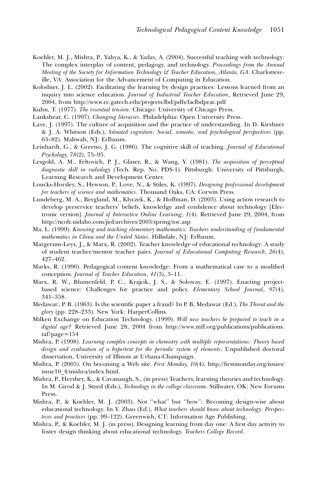- Koehler, M. J., Mishra, P., Yahya, K., & Yadav, A. (2004). Successful teaching with technology: The complex interplay of content, pedagogy, and technology. Proceedings from the Annual Meeting of the Society for Information Technology & Teacher Education, Atlanta, GA. Charlottesville, VA: Association for the Advancement of Computing in Education.
- Kolodner, J. L. (2002). Facilitating the learning by design practices: Lessons learned from an inquiry into science education. Journal of Industrial Teacher Education, Retrieved June 29, 2004, from http://www.cc.gatech.edu/projects/lbd/pdfs/faclbdprac.pdf
- Kuhn, T. (1977). The essential tension. Chicago: University of Chicago Press.
- Lankshear, C. (1997). Changing literacies. Philadelphia: Open University Press.
- Lave, J. (1997). The culture of acquisition and the practice of understanding. In D. Kirshner & J. A. Whitson (Eds.), Situated cognition: Social, semiotic, and psychological perspectives (pp. 63–82). Mahwah, NJ: Erlbaum.
- Leinhardt, G., & Greeno, J. G. (1986). The cognitive skill of teaching. *Journal of Educational* Psychology, 78(2), 75–95.
- Lesgold, A. M., Feltovich, P. J., Glaser, R., & Wang, Y. (1981). The acquisition of perceptual diagnostic skill in radiology (Tech. Rep. No. PDS-1). Pittsburgh: University of Pittsburgh, Learning Research and Development Center.
- Loucks-Horsley, S., Hewson, P., Love, N., & Stiles, K. (1997). Designing professional development for teachers of science and mathematics. Thousand Oaks, CA: Corwin Press.
- Lundeberg, M. A., Bergland, M., Klyczek, K., & Hoffman, D. (2003). Using action research to develop preservice teachers' beliefs, knowledge and confidence about technology [Electronic version]. Journal of Interactive Online Learning, 1(4). Retrieved June 29, 2004, from http://ncolr.uidaho.com/jiol/archives/2003/spring/toc.asp
- Ma, L. (1999). Knowing and teaching elementary mathematics: Teachers understanding of fundamental mathematics in China and the United States. Hillsdale, NJ: Erlbaum.
- Margerum-Leys, J., & Marx, R. (2002). Teacher knowledge of educational technology: A study of student teacher/mentor teacher pairs. Journal of Educational Computing Research, 26(4), 427–462.
- Marks, R. (1990). Pedagogical content knowledge: From a mathematical case to a modified conception. Journal of Teacher Education, 41(3), 3–11.
- Marx, R. W., Blumenfeld, P. C., Krajcik, J. S., & Soloway, E. (1997). Enacting projectbased science: Challenges for practice and policy. Elementary School Journal, 97(4), 341–358.
- Medawar., P. B. (1963). Is the scientific paper a fraud? In P. B. Medawar (Ed.), The Threat and the glory (pp. 228–233). New York: HarperCollins.
- Milken Exchange on Education Technology. (1999). Will new teachers be prepared to teach in a digital age? Retrieved June 28, 2004 from http://www.mff.org/publications/publications. taf?page=154
- Mishra, P. (1998). Learning complex concepts in chemistry with multiple representations: Theory based design and evaluation of a hypertext for the periodic system of elements. Unpublished doctoral dissertation, University of Illinois at Urbana-Champaign.
- Mishra, P. (2005). On becoming a Web site. First Monday, 10(4), http://firstmonday.org/issues/ issue10\_4/mishra/index.html.
- Mishra, P., Hershey, K., & Cavanaugh, S., (in press) Teachers, learning theories and technology. In M. Girod & J. Steed (Eds.), Technology in the college classroom. Stillwater, OK: New Forums Press.
- Mishra, P., & Koehler, M. J. (2003). Not ''what'' but ''how'': Becoming design-wise about educational technology. In Y. Zhao (Ed.), What teachers should know about technology: Perspectives and practices (pp. 99–122). Greenwich, CT: Information Age Publishing.
- Mishra, P., & Koehler, M. J. (in press). Designing learning from day one: A first day activity to foster design thinking about educational technology. Teachers College Record.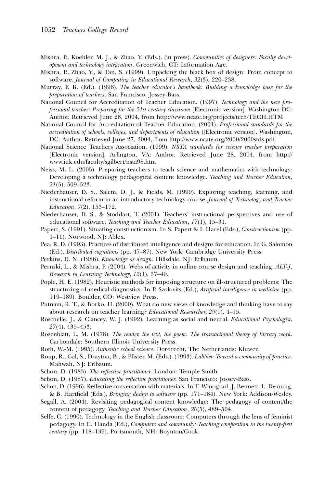- Mishra, P., Koehler, M. J., & Zhao, Y. (Eds.). (in press). Communities of designers: Faculty development and technology integration. Greenwich, CT: Information Age.
- Mishra, P., Zhao, Y., & Tan, S. (1999). Unpacking the black box of design: From concept to software. Journal of Computing in Educational Research, 32(3), 220–238.
- Murray, F. B. (Ed.). (1996). The teacher educator's handbook: Building a knowledge base for the preparation of teachers. San Francisco: Jossey-Bass.
- National Council for Accreditation of Teacher Education. (1997). Technology and the new professional teacher: Preparing for the 21st century classroom [Electronic version]. Washington DC: Author. Retrieved June 28, 2004, from http://www.ncate.org/projects/tech/TECH.HTM
- National Council for Accreditation of Teacher Education. (2001). Professional standards for the accreditation of schools, colleges, and departments of education ([Electronic version]. Washington, DC: Author. Retrieved June 27, 2004, from http://www.ncate.org/2000/2000stds.pdf
- National Science Teachers Association. (1999). NSTA standards for science teacher preparation [Electronic version]. Arlington, VA: Author. Retrieved June 28, 2004, from http:// www.iuk.edu/faculty/sgilbert/nsta98.htm
- Neiss, M. L. (2005). Preparing teachers to teach science and mathematics with technology: Developing a technology pedagogical content knowledge. Teaching and Teacher Education, 21(5), 509–523.
- Niederhauser, D. S., Salem, D. J., & Fields, M. (1999). Exploring teaching, learning, and instructional reform in an introductory technology course. Journal of Technology and Teacher Education, 7(2), 153–172.
- Niederhauser, D. S., & Stoddart, T. (2001). Teachers' instructional perspectives and use of educational software. Teaching and Teacher Education, 17(1), 15–31.
- Papert, S. (1991). Situating constructionism. In S. Papert & I. Harel (Eds.), Constructionism (pp. 1–11). Norwood, NJ: Ablex.
- Pea, R. D. (1993). Practices of distributed intelligence and designs for education. In G. Salomon (Ed.), Distributed cognitions (pp. 47–87). New York: Cambridge University Press.
- Perkins, D. N. (1986). Knowledge as design. Hillsdale, NJ: Erlbaum.
- Peruski, L., & Mishra, P. (2004). Webs of activity in online course design and teaching. ALT-J, Research in Learning Technology, 12(1), 37–49.
- Pople, H. E. (1982). Heuristic methods for imposing structure on ill-structured problems: The structuring of medical diagnostics. In P. Szolovits (Ed.), Artificial intelligence in medicine (pp. 119–189). Boulder, CO: Westview Press.
- Putnam, R. T., & Borko, H. (2000). What do new views of knowledge and thinking have to say about research on teacher learning? Educational Researcher, 29(1), 4-15.
- Roschelle, J., & Clancey, W. J. (1992). Learning as social and neural. Educational Psychologist, 27(4), 435–453.
- Rosenblatt, L. M. (1978). The reader, the text, the poem: The transactional theory of literary work. Carbondale: Southern Illinois University Press.
- Roth, W.-M. (1995). Authentic school science. Dordrecht, The Netherlands: Kluwer.
- Roup, R., Gal, S., Drayton, B., & Pfister, M. (Eds.). (1993). LabNet: Toward a community of practice. Mahwah, NJ: Erlbaum.
- Schon, D. (1983). The reflective practitioner. London: Temple Smith.
- Schon, D. (1987). Educating the reflective practitioner. San Francisco: Jossey-Bass.
- Schon, D. (1996). Reflective conversation with materials. In T. Winograd, J. Bennett, L. De oung, & B. Hartfield (Eds.), Bringing design to software (pp. 171–184). New York: Addison-Wesley.
- Segall, A. (2004). Revisiting pedagogical content knowledge: The pedagogy of content/the content of pedagogy. Teaching and Teacher Education, 20(5), 489–504.
- Selfe, C. (1990). Technology in the English classroom: Computers through the lens of feminist pedagogy. In C. Handa (Ed.), Computers and community: Teaching composition in the twenty-first century (pp. 118–139). Portsmouth, NH: Boynton/Cook.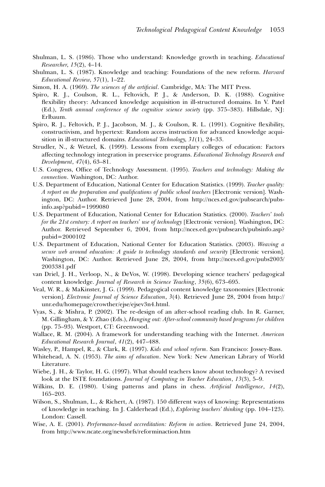- Shulman, L. S. (1986). Those who understand: Knowledge growth in teaching. Educational Researcher, 15(2), 4–14.
- Shulman, L. S. (1987). Knowledge and teaching: Foundations of the new reform. Harvard Educational Review, 57(1), 1–22.
- Simon, H. A. (1969). The sciences of the artificial. Cambridge, MA: The MIT Press.
- Spiro, R. J., Coulson, R. L., Feltovich, P. J., & Anderson, D. K. (1988). Cognitive flexibility theory: Advanced knowledge acquisition in ill-structured domains. In V. Patel (Ed.), Tenth annual conference of the cognitive science society (pp. 375–383). Hillsdale, NJ: Erlbaum.
- Spiro, R. J., Feltovich, P. J., Jacobson, M. J., & Coulson, R. L. (1991). Cognitive flexibility, constructivism, and hypertext: Random access instruction for advanced knowledge acquisition in ill-structured domains. Educational Technology, 31(1), 24–33.
- Strudler, N., & Wetzel, K. (1999). Lessons from exemplary colleges of education: Factors affecting technology integration in preservice programs. Educational Technology Research and Development, 47(4), 63–81.
- U.S. Congress, Office of Technology Assessment. (1995). Teachers and technology: Making the connection. Washington, DC: Author.
- U.S. Department of Education, National Center for Education Statistics. (1999). Teacher quality: A report on the preparation and qualifications of public school teachers [Electronic version]. Washington, DC: Author. Retrieved June 28, 2004, from http://nces.ed.gov/pubsearch/pubsinfo.asp?pubid=1999080
- U.S. Department of Education, National Center for Education Statistics. (2000). Teachers' tools for the 21st century: A report on teachers' use of technology [Electronic version]. Washington, DC: Author. Retrieved September 6, 2004, from http://nces.ed.gov/pubsearch/pubsinfo.asp? pubid=2000102
- U.S. Department of Education, National Center for Education Statistics. (2003). Weaving a secure web around education: A guide to technology standards and security [Electronic version]. Washington, DC: Author. Retrieved June 28, 2004, from http://nces.ed.gov/pubs2003/ 2003381.pdf
- van Driel, J. H., Verloop, N., & DeVos, W. (1998). Developing science teachers' pedagogical content knowledge. Journal of Research in Science Teaching, 35(6), 673–695.
- Veal, W. R., & MaKinster, J. G. (1999). Pedagogical content knowledge taxonomies [Electronic version]. Electronic Journal of Science Education, 3(4). Retrieved June 28, 2004 from http:// unr.edu/homepage/crowther/ejse/ejsev3n4.html.
- Vyas, S., & Mishra, P. (2002). The re-design of an after-school reading club. In R. Garner, M. Gillingham, & Y. Zhao (Eds.), Hanging out: After-school community based programs for children (pp. 75–93). Westport, CT: Greenwood.
- Wallace, R. M. (2004). A framework for understanding teaching with the Internet. American Educational Research Journal, 41(2), 447–488.
- Wasley, P., Hampel, R., & Clark, R. (1997). Kids and school reform. San Francisco: Jossey-Bass.
- Whitehead, A. N. (1953). The aims of education. New York: New American Library of World Literature.
- Wiebe, J. H., & Taylor, H. G. (1997). What should teachers know about technology? A revised look at the ISTE foundations. Journal of Computing in Teacher Education, 13(3), 5–9.
- Wilkins, D. E. (1980). Using patterns and plans in chess. Artificial Intelligence, 14(2), 165–203.
- Wilson, S., Shulman, L., & Richert, A. (1987). 150 different ways of knowing: Representations of knowledge in teaching. In J. Calderhead (Ed.), Exploring teachers' thinking (pp. 104–123). London: Cassell.
- Wise, A. E. (2001). Performance-based accreditation: Reform in action. Retrieved June 24, 2004, from http://www.ncate.org/newsbrfs/reforminaction.htm